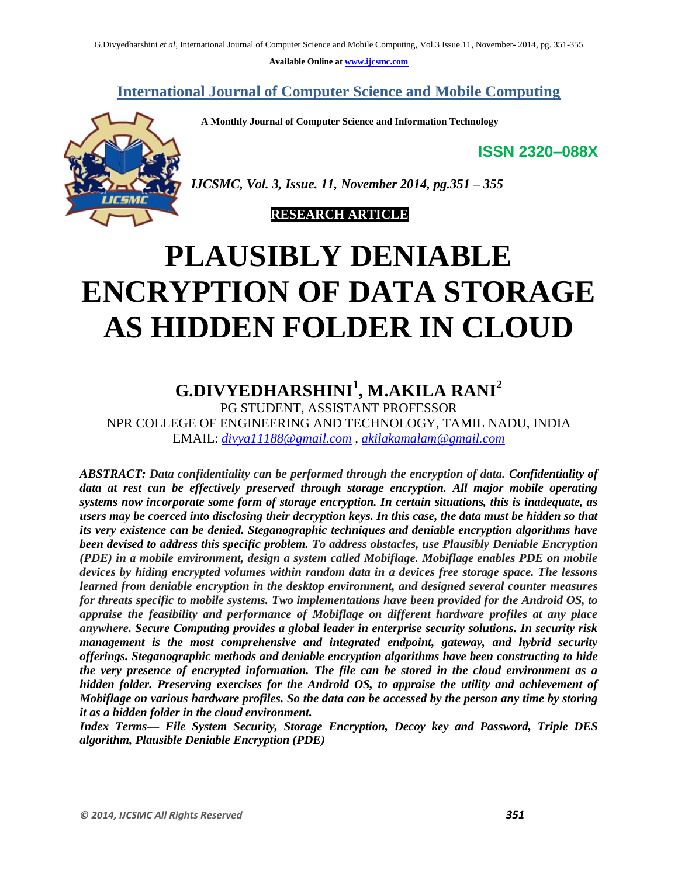**Available Online at www.ijcsmc.com**

**International Journal of Computer Science and Mobile Computing**

 **A Monthly Journal of Computer Science and Information Technology**

**ISSN 2320–088X**



*IJCSMC, Vol. 3, Issue. 11, November 2014, pg.351 – 355*

#### **RESEARCH ARTICLE**

# **PLAUSIBLY DENIABLE ENCRYPTION OF DATA STORAGE AS HIDDEN FOLDER IN CLOUD**

# **G.DIVYEDHARSHINI<sup>1</sup> , M.AKILA RANI<sup>2</sup>**

PG STUDENT, ASSISTANT PROFESSOR NPR COLLEGE OF ENGINEERING AND TECHNOLOGY, TAMIL NADU, INDIA EMAIL: *divya11188@gmail.com , akilakamalam@gmail.com*

*ABSTRACT: Data confidentiality can be performed through the encryption of data. Confidentiality of data at rest can be effectively preserved through storage encryption. All major mobile operating systems now incorporate some form of storage encryption. In certain situations, this is inadequate, as users may be coerced into disclosing their decryption keys. In this case, the data must be hidden so that its very existence can be denied. Steganographic techniques and deniable encryption algorithms have been devised to address this specific problem. To address obstacles, use Plausibly Deniable Encryption (PDE) in a mobile environment, design a system called Mobiflage. Mobiflage enables PDE on mobile devices by hiding encrypted volumes within random data in a devices free storage space. The lessons learned from deniable encryption in the desktop environment, and designed several counter measures for threats specific to mobile systems. Two implementations have been provided for the Android OS, to appraise the feasibility and performance of Mobiflage on different hardware profiles at any place anywhere. Secure Computing provides a global leader in enterprise security solutions. In security risk management is the most comprehensive and integrated endpoint, gateway, and hybrid security offerings. Steganographic methods and deniable encryption algorithms have been constructing to hide the very presence of encrypted information. The file can be stored in the cloud environment as a hidden folder. Preserving exercises for the Android OS, to appraise the utility and achievement of Mobiflage on various hardware profiles. So the data can be accessed by the person any time by storing it as a hidden folder in the cloud environment.*

*Index Terms— File System Security, Storage Encryption, Decoy key and Password, Triple DES algorithm, Plausible Deniable Encryption (PDE)*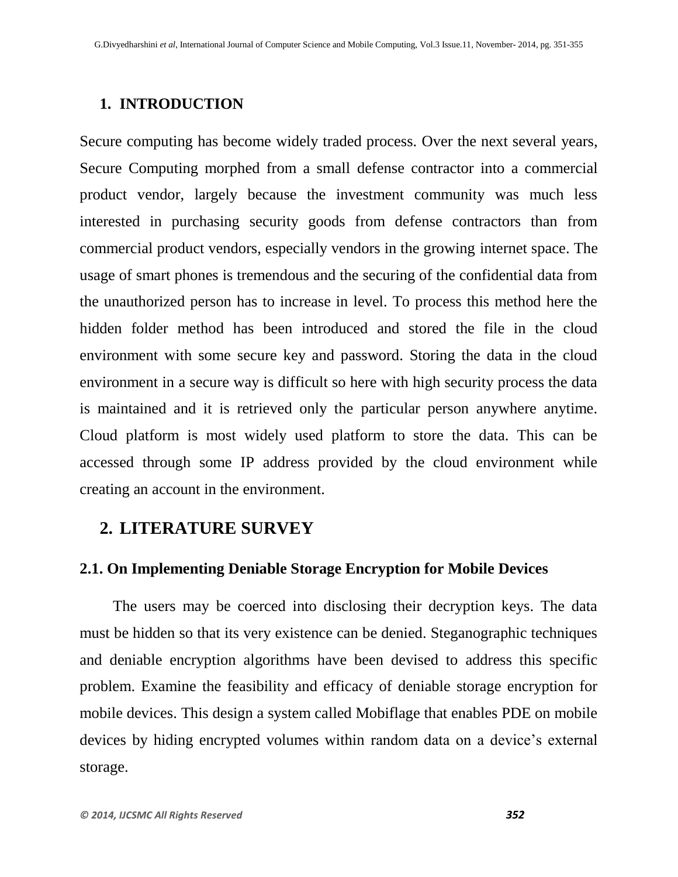#### **1. INTRODUCTION**

Secure computing has become widely traded process. Over the next several years, Secure Computing morphed from a small [defense contractor](http://en.wikipedia.org/wiki/Defense_contractor) into a commercial product vendor, largely because the investment community was much less interested in purchasing security goods from defense contractors than from commercial product vendors, especially vendors in the growing [internet](http://en.wikipedia.org/wiki/Internet) space. The usage of smart phones is tremendous and the securing of the confidential data from the unauthorized person has to increase in level. To process this method here the hidden folder method has been introduced and stored the file in the cloud environment with some secure key and password. Storing the data in the cloud environment in a secure way is difficult so here with high security process the data is maintained and it is retrieved only the particular person anywhere anytime. Cloud platform is most widely used platform to store the data. This can be accessed through some IP address provided by the cloud environment while creating an account in the environment.

## **2. LITERATURE SURVEY**

#### **2.1. On Implementing Deniable Storage Encryption for Mobile Devices**

 The users may be coerced into disclosing their decryption keys. The data must be hidden so that its very existence can be denied. Steganographic techniques and deniable encryption algorithms have been devised to address this specific problem. Examine the feasibility and efficacy of deniable storage encryption for mobile devices. This design a system called Mobiflage that enables PDE on mobile devices by hiding encrypted volumes within random data on a device's external storage.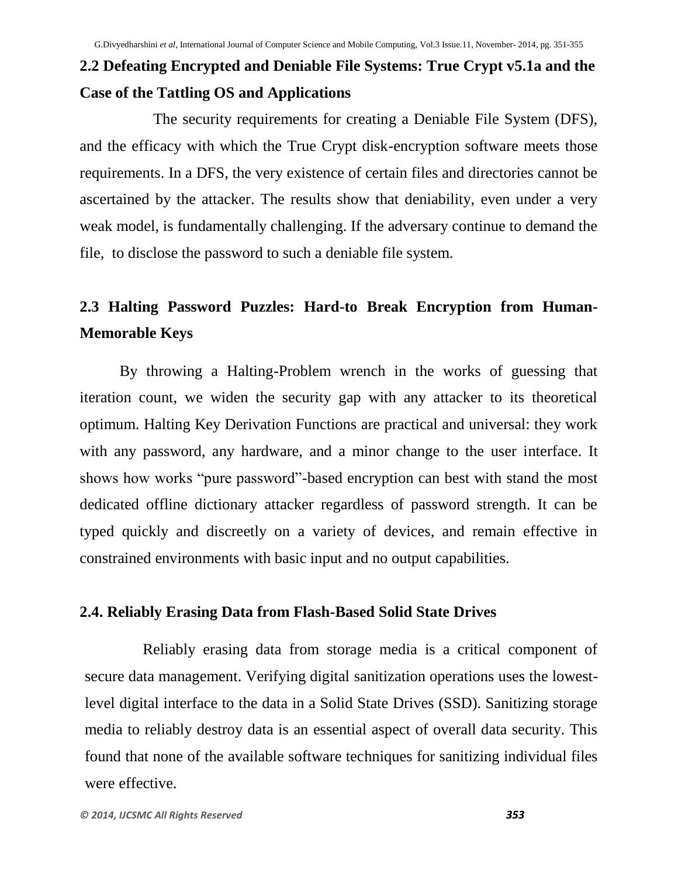# **2.2 Defeating Encrypted and Deniable File Systems: True Crypt v5.1a and the Case of the Tattling OS and Applications**

The security requirements for creating a Deniable File System (DFS), and the efficacy with which the True Crypt disk-encryption software meets those requirements. In a DFS, the very existence of certain files and directories cannot be ascertained by the attacker. The results show that deniability, even under a very weak model, is fundamentally challenging. If the adversary continue to demand the file, to disclose the password to such a deniable file system.

# **2.3 Halting Password Puzzles: Hard-to Break Encryption from Human-Memorable Keys**

By throwing a Halting-Problem wrench in the works of guessing that iteration count, we widen the security gap with any attacker to its theoretical optimum. Halting Key Derivation Functions are practical and universal: they work with any password, any hardware, and a minor change to the user interface. It shows how works "pure password"-based encryption can best with stand the most dedicated offline dictionary attacker regardless of password strength. It can be typed quickly and discreetly on a variety of devices, and remain effective in constrained environments with basic input and no output capabilities.

#### **2.4. Reliably Erasing Data from Flash-Based Solid State Drives**

Reliably erasing data from storage media is a critical component of secure data management. Verifying digital sanitization operations uses the lowestlevel digital interface to the data in a Solid State Drives (SSD). Sanitizing storage media to reliably destroy data is an essential aspect of overall data security. This found that none of the available software techniques for sanitizing individual files were effective.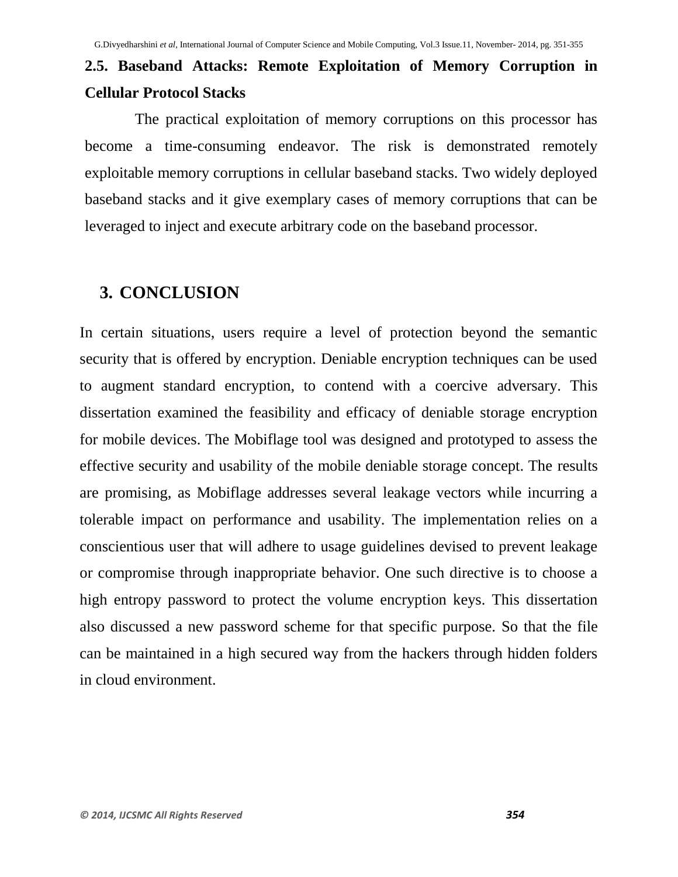# **2.5. Baseband Attacks: Remote Exploitation of Memory Corruption in Cellular Protocol Stacks**

The practical exploitation of memory corruptions on this processor has become a time-consuming endeavor. The risk is demonstrated remotely exploitable memory corruptions in cellular baseband stacks. Two widely deployed baseband stacks and it give exemplary cases of memory corruptions that can be leveraged to inject and execute arbitrary code on the baseband processor.

## **3. CONCLUSION**

In certain situations, users require a level of protection beyond the semantic security that is offered by encryption. Deniable encryption techniques can be used to augment standard encryption, to contend with a coercive adversary. This dissertation examined the feasibility and efficacy of deniable storage encryption for mobile devices. The Mobiflage tool was designed and prototyped to assess the effective security and usability of the mobile deniable storage concept. The results are promising, as Mobiflage addresses several leakage vectors while incurring a tolerable impact on performance and usability. The implementation relies on a conscientious user that will adhere to usage guidelines devised to prevent leakage or compromise through inappropriate behavior. One such directive is to choose a high entropy password to protect the volume encryption keys. This dissertation also discussed a new password scheme for that specific purpose. So that the file can be maintained in a high secured way from the hackers through hidden folders in cloud environment.